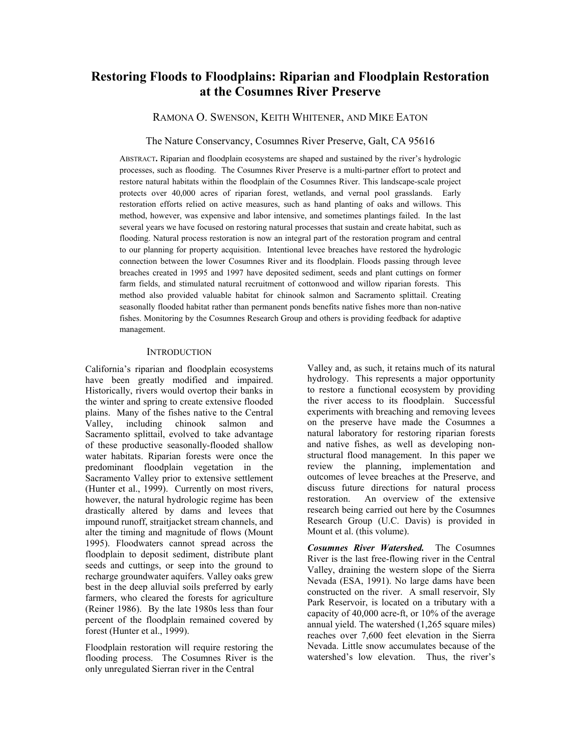# **Restoring Floods to Floodplains: Riparian and Floodplain Restoration at the Cosumnes River Preserve**

RAMONA O. SWENSON, KEITH WHITENER, AND MIKE EATON

The Nature Conservancy, Cosumnes River Preserve, Galt, CA 95616

ABSTRACT**.** Riparian and floodplain ecosystems are shaped and sustained by the river's hydrologic processes, such as flooding. The Cosumnes River Preserve is a multi-partner effort to protect and restore natural habitats within the floodplain of the Cosumnes River. This landscape-scale project protects over 40,000 acres of riparian forest, wetlands, and vernal pool grasslands. Early restoration efforts relied on active measures, such as hand planting of oaks and willows. This method, however, was expensive and labor intensive, and sometimes plantings failed. In the last several years we have focused on restoring natural processes that sustain and create habitat, such as flooding. Natural process restoration is now an integral part of the restoration program and central to our planning for property acquisition. Intentional levee breaches have restored the hydrologic connection between the lower Cosumnes River and its floodplain. Floods passing through levee breaches created in 1995 and 1997 have deposited sediment, seeds and plant cuttings on former farm fields, and stimulated natural recruitment of cottonwood and willow riparian forests. This method also provided valuable habitat for chinook salmon and Sacramento splittail. Creating seasonally flooded habitat rather than permanent ponds benefits native fishes more than non-native fishes. Monitoring by the Cosumnes Research Group and others is providing feedback for adaptive management.

#### **INTRODUCTION**

California's riparian and floodplain ecosystems have been greatly modified and impaired. Historically, rivers would overtop their banks in the winter and spring to create extensive flooded plains. Many of the fishes native to the Central Valley, including chinook salmon and Sacramento splittail, evolved to take advantage of these productive seasonally-flooded shallow water habitats. Riparian forests were once the predominant floodplain vegetation in the Sacramento Valley prior to extensive settlement (Hunter et al., 1999). Currently on most rivers, however, the natural hydrologic regime has been drastically altered by dams and levees that impound runoff, straitjacket stream channels, and alter the timing and magnitude of flows (Mount 1995). Floodwaters cannot spread across the floodplain to deposit sediment, distribute plant seeds and cuttings, or seep into the ground to recharge groundwater aquifers. Valley oaks grew best in the deep alluvial soils preferred by early farmers, who cleared the forests for agriculture (Reiner 1986). By the late 1980s less than four percent of the floodplain remained covered by forest (Hunter et al., 1999).

Floodplain restoration will require restoring the flooding process. The Cosumnes River is the only unregulated Sierran river in the Central

Valley and, as such, it retains much of its natural hydrology. This represents a major opportunity to restore a functional ecosystem by providing the river access to its floodplain. Successful experiments with breaching and removing levees on the preserve have made the Cosumnes a natural laboratory for restoring riparian forests and native fishes, as well as developing nonstructural flood management. In this paper we review the planning, implementation and outcomes of levee breaches at the Preserve, and discuss future directions for natural process restoration. An overview of the extensive research being carried out here by the Cosumnes Research Group (U.C. Davis) is provided in Mount et al. (this volume).

*Cosumnes River Watershed.* The Cosumnes River is the last free-flowing river in the Central Valley, draining the western slope of the Sierra Nevada (ESA, 1991). No large dams have been constructed on the river. A small reservoir, Sly Park Reservoir, is located on a tributary with a capacity of 40,000 acre-ft, or 10% of the average annual yield. The watershed (1,265 square miles) reaches over 7,600 feet elevation in the Sierra Nevada. Little snow accumulates because of the watershed's low elevation. Thus, the river's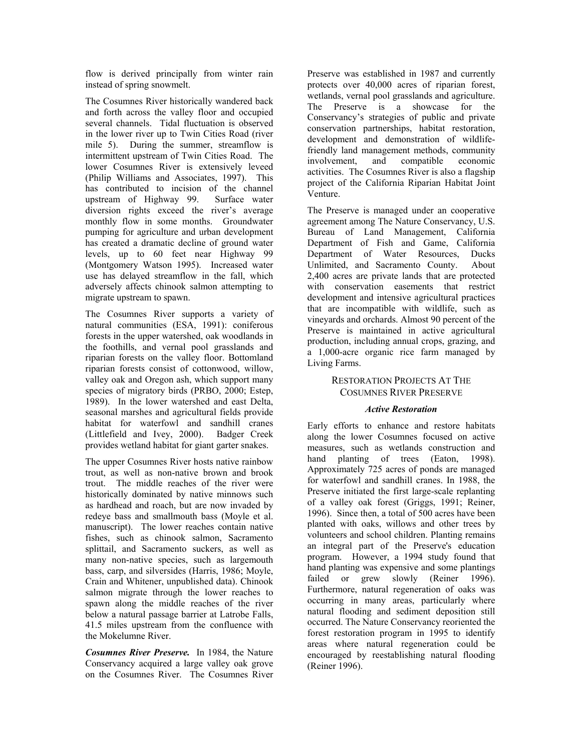flow is derived principally from winter rain instead of spring snowmelt.

The Cosumnes River historically wandered back and forth across the valley floor and occupied several channels. Tidal fluctuation is observed in the lower river up to Twin Cities Road (river mile 5). During the summer, streamflow is intermittent upstream of Twin Cities Road. The lower Cosumnes River is extensively leveed (Philip Williams and Associates, 1997). This has contributed to incision of the channel upstream of Highway 99. Surface water diversion rights exceed the river's average monthly flow in some months. Groundwater pumping for agriculture and urban development has created a dramatic decline of ground water levels, up to 60 feet near Highway 99 (Montgomery Watson 1995). Increased water use has delayed streamflow in the fall, which adversely affects chinook salmon attempting to migrate upstream to spawn.

The Cosumnes River supports a variety of natural communities (ESA, 1991): coniferous forests in the upper watershed, oak woodlands in the foothills, and vernal pool grasslands and riparian forests on the valley floor. Bottomland riparian forests consist of cottonwood, willow, valley oak and Oregon ash, which support many species of migratory birds (PRBO, 2000; Estep, 1989). In the lower watershed and east Delta, seasonal marshes and agricultural fields provide habitat for waterfowl and sandhill cranes (Littlefield and Ivey, 2000). Badger Creek provides wetland habitat for giant garter snakes.

The upper Cosumnes River hosts native rainbow trout, as well as non-native brown and brook trout. The middle reaches of the river were historically dominated by native minnows such as hardhead and roach, but are now invaded by redeye bass and smallmouth bass (Moyle et al. manuscript). The lower reaches contain native fishes, such as chinook salmon, Sacramento splittail, and Sacramento suckers, as well as many non-native species, such as largemouth bass, carp, and silversides (Harris, 1986; Moyle, Crain and Whitener, unpublished data). Chinook salmon migrate through the lower reaches to spawn along the middle reaches of the river below a natural passage barrier at Latrobe Falls, 41.5 miles upstream from the confluence with the Mokelumne River.

*Cosumnes River Preserve.* In 1984, the Nature Conservancy acquired a large valley oak grove on the Cosumnes River. The Cosumnes River

Preserve was established in 1987 and currently protects over 40,000 acres of riparian forest, wetlands, vernal pool grasslands and agriculture. The Preserve is a showcase for the Conservancy's strategies of public and private conservation partnerships, habitat restoration, development and demonstration of wildlifefriendly land management methods, community involvement, and compatible economic activities. The Cosumnes River is also a flagship project of the California Riparian Habitat Joint Venture.

The Preserve is managed under an cooperative agreement among The Nature Conservancy, U.S. Bureau of Land Management, California Department of Fish and Game, California Department of Water Resources, Ducks Unlimited, and Sacramento County. About 2,400 acres are private lands that are protected with conservation easements that restrict development and intensive agricultural practices that are incompatible with wildlife, such as vineyards and orchards. Almost 90 percent of the Preserve is maintained in active agricultural production, including annual crops, grazing, and a 1,000-acre organic rice farm managed by Living Farms.

# RESTORATION PROJECTS AT THE COSUMNES RIVER PRESERVE

# *Active Restoration*

Early efforts to enhance and restore habitats along the lower Cosumnes focused on active measures, such as wetlands construction and hand planting of trees (Eaton, 1998). Approximately 725 acres of ponds are managed for waterfowl and sandhill cranes. In 1988, the Preserve initiated the first large-scale replanting of a valley oak forest (Griggs, 1991; Reiner, 1996). Since then, a total of 500 acres have been planted with oaks, willows and other trees by volunteers and school children. Planting remains an integral part of the Preserve's education program. However, a 1994 study found that hand planting was expensive and some plantings failed or grew slowly (Reiner 1996). Furthermore, natural regeneration of oaks was occurring in many areas, particularly where natural flooding and sediment deposition still occurred. The Nature Conservancy reoriented the forest restoration program in 1995 to identify areas where natural regeneration could be encouraged by reestablishing natural flooding (Reiner 1996).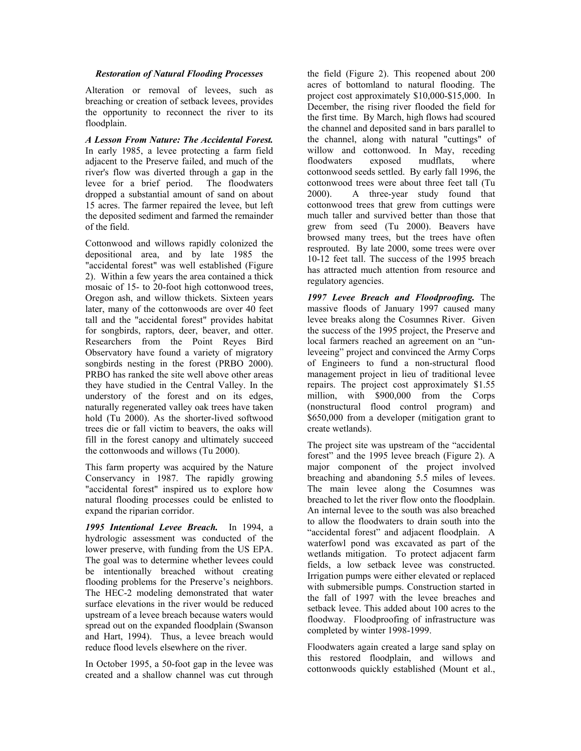### *Restoration of Natural Flooding Processes*

Alteration or removal of levees, such as breaching or creation of setback levees, provides the opportunity to reconnect the river to its floodplain.

*A Lesson From Nature: The Accidental Forest.* In early 1985, a levee protecting a farm field adjacent to the Preserve failed, and much of the river's flow was diverted through a gap in the levee for a brief period. The floodwaters dropped a substantial amount of sand on about 15 acres. The farmer repaired the levee, but left the deposited sediment and farmed the remainder of the field.

Cottonwood and willows rapidly colonized the depositional area, and by late 1985 the "accidental forest" was well established (Figure 2). Within a few years the area contained a thick mosaic of 15- to 20-foot high cottonwood trees, Oregon ash, and willow thickets. Sixteen years later, many of the cottonwoods are over 40 feet tall and the "accidental forest" provides habitat for songbirds, raptors, deer, beaver, and otter. Researchers from the Point Reyes Bird Observatory have found a variety of migratory songbirds nesting in the forest (PRBO 2000). PRBO has ranked the site well above other areas they have studied in the Central Valley. In the understory of the forest and on its edges, naturally regenerated valley oak trees have taken hold (Tu 2000). As the shorter-lived softwood trees die or fall victim to beavers, the oaks will fill in the forest canopy and ultimately succeed the cottonwoods and willows (Tu 2000).

This farm property was acquired by the Nature Conservancy in 1987. The rapidly growing "accidental forest" inspired us to explore how natural flooding processes could be enlisted to expand the riparian corridor.

*1995 Intentional Levee Breach.* In 1994, a hydrologic assessment was conducted of the lower preserve, with funding from the US EPA. The goal was to determine whether levees could be intentionally breached without creating flooding problems for the Preserve's neighbors. The HEC-2 modeling demonstrated that water surface elevations in the river would be reduced upstream of a levee breach because waters would spread out on the expanded floodplain (Swanson and Hart, 1994). Thus, a levee breach would reduce flood levels elsewhere on the river.

In October 1995, a 50-foot gap in the levee was created and a shallow channel was cut through

the field (Figure 2). This reopened about 200 acres of bottomland to natural flooding. The project cost approximately \$10,000-\$15,000. In December, the rising river flooded the field for the first time. By March, high flows had scoured the channel and deposited sand in bars parallel to the channel, along with natural "cuttings" of willow and cottonwood. In May, receding floodwaters exposed mudflats, where cottonwood seeds settled. By early fall 1996, the cottonwood trees were about three feet tall (Tu 2000). A three-year study found that cottonwood trees that grew from cuttings were much taller and survived better than those that grew from seed (Tu 2000). Beavers have browsed many trees, but the trees have often resprouted. By late 2000, some trees were over 10-12 feet tall. The success of the 1995 breach has attracted much attention from resource and regulatory agencies.

*1997 Levee Breach and Floodproofing.* The massive floods of January 1997 caused many levee breaks along the Cosumnes River. Given the success of the 1995 project, the Preserve and local farmers reached an agreement on an "unleveeing" project and convinced the Army Corps of Engineers to fund a non-structural flood management project in lieu of traditional levee repairs. The project cost approximately \$1.55 million, with \$900,000 from the Corps (nonstructural flood control program) and \$650,000 from a developer (mitigation grant to create wetlands).

The project site was upstream of the "accidental forest" and the 1995 levee breach (Figure 2). A major component of the project involved breaching and abandoning 5.5 miles of levees. The main levee along the Cosumnes was breached to let the river flow onto the floodplain. An internal levee to the south was also breached to allow the floodwaters to drain south into the "accidental forest" and adjacent floodplain. A waterfowl pond was excavated as part of the wetlands mitigation. To protect adjacent farm fields, a low setback levee was constructed. Irrigation pumps were either elevated or replaced with submersible pumps. Construction started in the fall of 1997 with the levee breaches and setback levee. This added about 100 acres to the floodway. Floodproofing of infrastructure was completed by winter 1998-1999.

Floodwaters again created a large sand splay on this restored floodplain, and willows and cottonwoods quickly established (Mount et al.,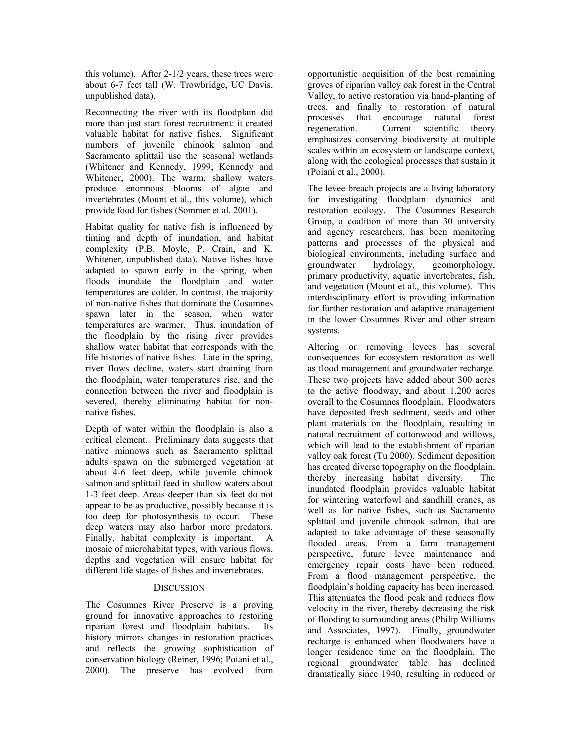this volume). After 2-1/2 years, these trees were about 6-7 feet tall (W. Trowbridge, UC Davis, unpublished data).

Reconnecting the river with its floodplain did more than just start forest recruitment: it created valuable habitat for native fishes. Significant numbers of juvenile chinook salmon and Sacramento splittail use the seasonal wetlands (Whitener and Kennedy, 1999; Kennedy and Whitener, 2000). The warm, shallow waters produce enormous blooms of algae and invertebrates (Mount et al., this volume), which provide food for fishes (Sommer et al. 2001).

Habitat quality for native fish is influenced by timing and depth of inundation, and habitat complexity (P.B. Moyle, P. Crain, and K. Whitener, unpublished data). Native fishes have adapted to spawn early in the spring, when floods inundate the floodplain and water temperatures are colder. In contrast, the majority of non-native fishes that dominate the Cosumnes spawn later in the season, when water temperatures are warmer. Thus, inundation of the floodplain by the rising river provides shallow water habitat that corresponds with the life histories of native fishes. Late in the spring, river flows decline, waters start draining from the floodplain, water temperatures rise, and the connection between the river and floodplain is severed, thereby eliminating habitat for nonnative fishes.

Depth of water within the floodplain is also a critical element. Preliminary data suggests that native minnows such as Sacramento splittail adults spawn on the submerged vegetation at about 4-6 feet deep, while juvenile chinook salmon and splittail feed in shallow waters about 1-3 feet deep. Areas deeper than six feet do not appear to be as productive, possibly because it is too deep for photosynthesis to occur. These deep waters may also harbor more predators. Finally, habitat complexity is important. A mosaic of microhabitat types, with various flows, depths and vegetation will ensure habitat for different life stages of fishes and invertebrates.

## **DISCUSSION**

The Cosumnes River Preserve is a proving ground for innovative approaches to restoring riparian forest and floodplain habitats. Its history mirrors changes in restoration practices and reflects the growing sophistication of conservation biology (Reiner, 1996; Poiani et al., 2000). The preserve has evolved from opportunistic acquisition of the best remaining groves of riparian valley oak forest in the Central Valley, to active restoration via hand-planting of trees, and finally to restoration of natural processes that encourage natural forest regeneration. Current scientific theory emphasizes conserving biodiversity at multiple scales within an ecosystem or landscape context, along with the ecological processes that sustain it (Poiani et al., 2000).

The levee breach projects are a living laboratory for investigating floodplain dynamics and restoration ecology. The Cosumnes Research Group, a coalition of more than 30 university and agency researchers, has been monitoring patterns and processes of the physical and biological environments, including surface and groundwater hydrology, geomorphology, primary productivity, aquatic invertebrates, fish, and vegetation (Mount et al., this volume). This interdisciplinary effort is providing information for further restoration and adaptive management in the lower Cosumnes River and other stream systems.

Altering or removing levees has several consequences for ecosystem restoration as well as flood management and groundwater recharge. These two projects have added about 300 acres to the active floodway, and about 1,200 acres overall to the Cosumnes floodplain. Floodwaters have deposited fresh sediment, seeds and other plant materials on the floodplain, resulting in natural recruitment of cottonwood and willows, which will lead to the establishment of riparian valley oak forest (Tu 2000). Sediment deposition has created diverse topography on the floodplain, thereby increasing habitat diversity. The inundated floodplain provides valuable habitat for wintering waterfowl and sandhill cranes, as well as for native fishes, such as Sacramento splittail and juvenile chinook salmon, that are adapted to take advantage of these seasonally flooded areas. From a farm management perspective, future levee maintenance and emergency repair costs have been reduced. From a flood management perspective, the floodplain's holding capacity has been increased. This attenuates the flood peak and reduces flow velocity in the river, thereby decreasing the risk of flooding to surrounding areas (Philip Williams and Associates, 1997). Finally, groundwater recharge is enhanced when floodwaters have a longer residence time on the floodplain. The regional groundwater table has declined dramatically since 1940, resulting in reduced or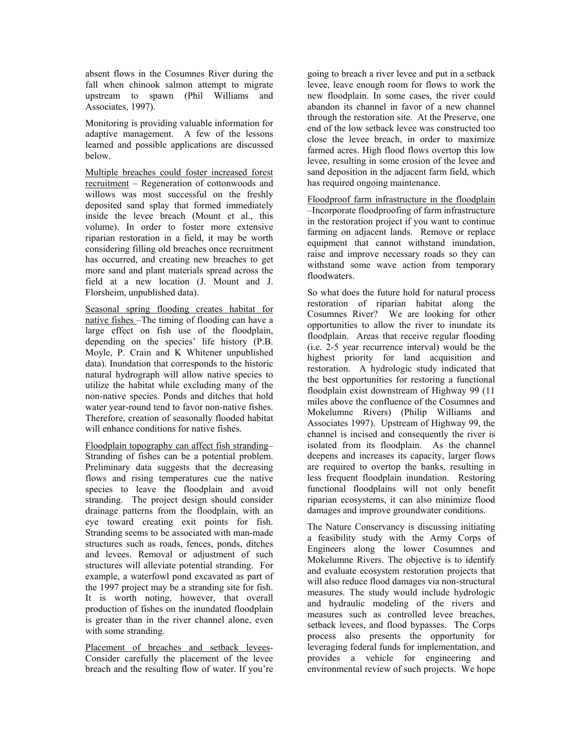absent flows in the Cosumnes River during the fall when chinook salmon attempt to migrate upstream to spawn (Phil Williams and Associates, 1997).

Monitoring is providing valuable information for adaptive management. A few of the lessons learned and possible applications are discussed below.

Multiple breaches could foster increased forest recruitment – Regeneration of cottonwoods and willows was most successful on the freshly deposited sand splay that formed immediately inside the levee breach (Mount et al., this volume). In order to foster more extensive riparian restoration in a field, it may be worth considering filling old breaches once recruitment has occurred, and creating new breaches to get more sand and plant materials spread across the field at a new location (J. Mount and J. Florsheim, unpublished data).

Seasonal spring flooding creates habitat for native fishes –The timing of flooding can have a large effect on fish use of the floodplain, depending on the species' life history (P.B. Moyle, P. Crain and K Whitener unpublished data). Inundation that corresponds to the historic natural hydrograph will allow native species to utilize the habitat while excluding many of the non-native species. Ponds and ditches that hold water year-round tend to favor non-native fishes. Therefore, creation of seasonally flooded habitat will enhance conditions for native fishes.

Floodplain topography can affect fish stranding– Stranding of fishes can be a potential problem. Preliminary data suggests that the decreasing flows and rising temperatures cue the native species to leave the floodplain and avoid stranding. The project design should consider drainage patterns from the floodplain, with an eye toward creating exit points for fish. Stranding seems to be associated with man-made structures such as roads, fences, ponds, ditches and levees. Removal or adjustment of such structures will alleviate potential stranding. For example, a waterfowl pond excavated as part of the 1997 project may be a stranding site for fish. It is worth noting, however, that overall production of fishes on the inundated floodplain is greater than in the river channel alone, even with some stranding.

Placement of breaches and setback levees-Consider carefully the placement of the levee breach and the resulting flow of water. If you're

going to breach a river levee and put in a setback levee, leave enough room for flows to work the new floodplain. In some cases, the river could abandon its channel in favor of a new channel through the restoration site. At the Preserve, one end of the low setback levee was constructed too close the levee breach, in order to maximize farmed acres. High flood flows overtop this low levee, resulting in some erosion of the levee and sand deposition in the adjacent farm field, which has required ongoing maintenance.

Floodproof farm infrastructure in the floodplain –Incorporate floodproofing of farm infrastructure in the restoration project if you want to continue farming on adjacent lands. Remove or replace equipment that cannot withstand inundation, raise and improve necessary roads so they can withstand some wave action from temporary floodwaters.

So what does the future hold for natural process restoration of riparian habitat along the Cosumnes River? We are looking for other opportunities to allow the river to inundate its floodplain. Areas that receive regular flooding (i.e. 2-5 year recurrence interval) would be the highest priority for land acquisition and restoration. A hydrologic study indicated that the best opportunities for restoring a functional floodplain exist downstream of Highway 99 (11 miles above the confluence of the Cosumnes and Mokelumne Rivers) (Philip Williams and Associates 1997). Upstream of Highway 99, the channel is incised and consequently the river is isolated from its floodplain. As the channel deepens and increases its capacity, larger flows are required to overtop the banks, resulting in less frequent floodplain inundation. Restoring functional floodplains will not only benefit riparian ecosystems, it can also minimize flood damages and improve groundwater conditions.

The Nature Conservancy is discussing initiating a feasibility study with the Army Corps of Engineers along the lower Cosumnes and Mokelumne Rivers. The objective is to identify and evaluate ecosystem restoration projects that will also reduce flood damages via non-structural measures. The study would include hydrologic and hydraulic modeling of the rivers and measures such as controlled levee breaches, setback levees, and flood bypasses. The Corps process also presents the opportunity for leveraging federal funds for implementation, and provides a vehicle for engineering and environmental review of such projects. We hope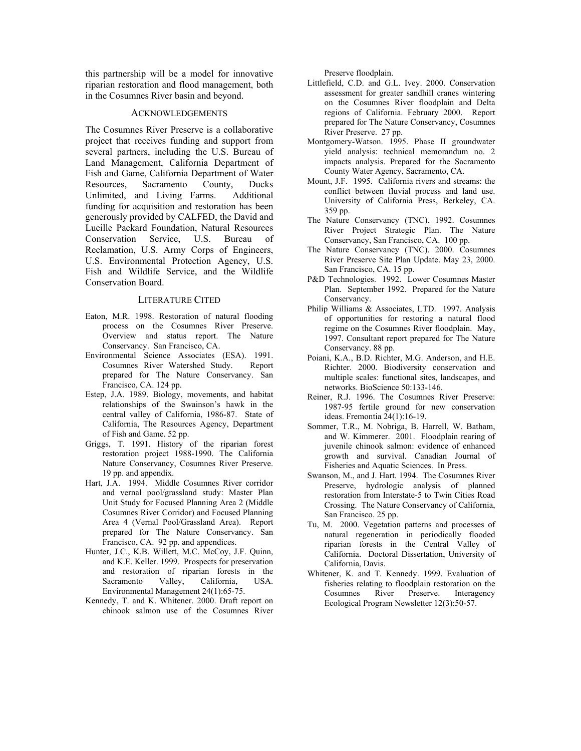this partnership will be a model for innovative riparian restoration and flood management, both in the Cosumnes River basin and beyond.

#### ACKNOWLEDGEMENTS

The Cosumnes River Preserve is a collaborative project that receives funding and support from several partners, including the U.S. Bureau of Land Management, California Department of Fish and Game, California Department of Water Resources, Sacramento County, Ducks Unlimited, and Living Farms. Additional funding for acquisition and restoration has been generously provided by CALFED, the David and Lucille Packard Foundation, Natural Resources Conservation Service, U.S. Bureau of Reclamation, U.S. Army Corps of Engineers, U.S. Environmental Protection Agency, U.S. Fish and Wildlife Service, and the Wildlife Conservation Board.

#### LITERATURE CITED

- Eaton, M.R. 1998. Restoration of natural flooding process on the Cosumnes River Preserve. Overview and status report. The Nature Conservancy. San Francisco, CA.
- Environmental Science Associates (ESA). 1991. Cosumnes River Watershed Study. Report prepared for The Nature Conservancy. San Francisco, CA. 124 pp.
- Estep, J.A. 1989. Biology, movements, and habitat relationships of the Swainson's hawk in the central valley of California, 1986-87. State of California, The Resources Agency, Department of Fish and Game. 52 pp.
- Griggs, T. 1991. History of the riparian forest restoration project 1988-1990. The California Nature Conservancy, Cosumnes River Preserve. 19 pp. and appendix.
- Hart, J.A. 1994. Middle Cosumnes River corridor and vernal pool/grassland study: Master Plan Unit Study for Focused Planning Area 2 (Middle Cosumnes River Corridor) and Focused Planning Area 4 (Vernal Pool/Grassland Area). Report prepared for The Nature Conservancy. San Francisco, CA. 92 pp. and appendices.
- Hunter, J.C., K.B. Willett, M.C. McCoy, J.F. Quinn, and K.E. Keller. 1999. Prospects for preservation and restoration of riparian forests in the<br>Sacramento Valley, California, USA. Sacramento Valley, California, USA. Environmental Management 24(1):65-75.
- Kennedy, T. and K. Whitener. 2000. Draft report on chinook salmon use of the Cosumnes River

Preserve floodplain.

- Littlefield, C.D. and G.L. Ivey. 2000. Conservation assessment for greater sandhill cranes wintering on the Cosumnes River floodplain and Delta regions of California. February 2000. Report prepared for The Nature Conservancy, Cosumnes River Preserve. 27 pp.
- Montgomery-Watson. 1995. Phase II groundwater yield analysis: technical memorandum no. 2 impacts analysis. Prepared for the Sacramento County Water Agency, Sacramento, CA.
- Mount, J.F. 1995. California rivers and streams: the conflict between fluvial process and land use. University of California Press, Berkeley, CA. 359 pp.
- The Nature Conservancy (TNC). 1992. Cosumnes River Project Strategic Plan. The Nature Conservancy, San Francisco, CA. 100 pp.
- The Nature Conservancy (TNC). 2000. Cosumnes River Preserve Site Plan Update. May 23, 2000. San Francisco, CA. 15 pp.
- P&D Technologies. 1992. Lower Cosumnes Master Plan. September 1992. Prepared for the Nature Conservancy.
- Philip Williams & Associates, LTD. 1997. Analysis of opportunities for restoring a natural flood regime on the Cosumnes River floodplain. May, 1997. Consultant report prepared for The Nature Conservancy. 88 pp.
- Poiani, K.A., B.D. Richter, M.G. Anderson, and H.E. Richter. 2000. Biodiversity conservation and multiple scales: functional sites, landscapes, and networks. BioScience 50:133-146.
- Reiner, R.J. 1996. The Cosumnes River Preserve: 1987-95 fertile ground for new conservation ideas. Fremontia 24(1):16-19.
- Sommer, T.R., M. Nobriga, B. Harrell, W. Batham, and W. Kimmerer. 2001. Floodplain rearing of juvenile chinook salmon: evidence of enhanced growth and survival. Canadian Journal of Fisheries and Aquatic Sciences. In Press.
- Swanson, M., and J. Hart. 1994. The Cosumnes River Preserve, hydrologic analysis of planned restoration from Interstate-5 to Twin Cities Road Crossing. The Nature Conservancy of California, San Francisco. 25 pp.
- Tu, M. 2000. Vegetation patterns and processes of natural regeneration in periodically flooded riparian forests in the Central Valley of California. Doctoral Dissertation, University of California, Davis.
- Whitener, K. and T. Kennedy. 1999. Evaluation of fisheries relating to floodplain restoration on the Cosumnes River Preserve. Interagency Ecological Program Newsletter 12(3):50-57.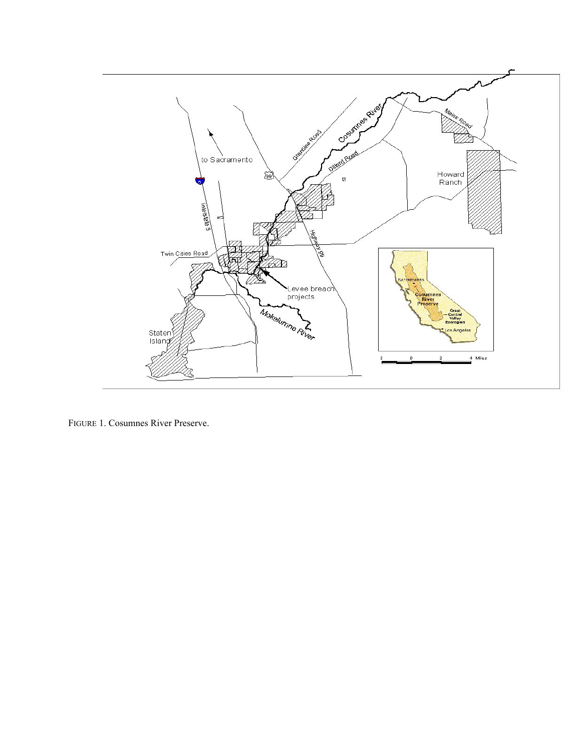

FIGURE 1. Cosumnes River Preserve.